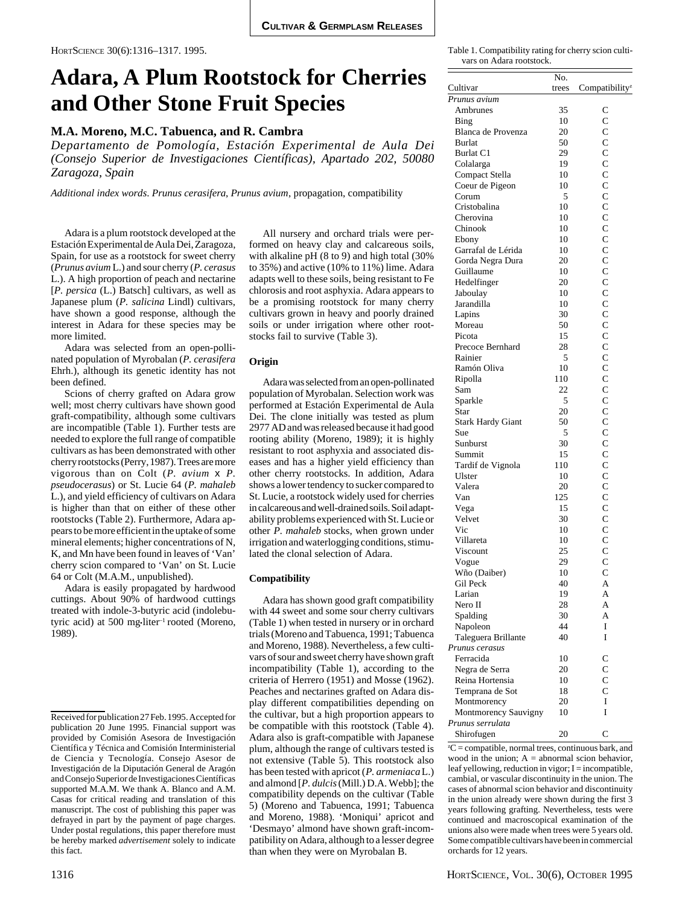# **Adara, A Plum Rootstock for Cherries and Other Stone Fruit Species**

# **M.A. Moreno, M.C. Tabuenca, and R. Cambra**

*Departamento de Pomología, Estación Experimental de Aula Dei (Consejo Superior de Investigaciones Científicas), Apartado 202, 50080 Zaragoza, Spain*

*Additional index words*. *Prunus cerasifera*, *Prunus avium*, propagation, compatibility

Adara is a plum rootstock developed at the Estación Experimental de Aula Dei, Zaragoza, Spain, for use as a rootstock for sweet cherry (*Prunus avium* L.) and sour cherry (*P. cerasus* L.). A high proportion of peach and nectarine [*P. persica* (L.) Batsch] cultivars, as well as Japanese plum (*P. salicina* Lindl) cultivars, have shown a good response, although the interest in Adara for these species may be more limited.

Adara was selected from an open-pollinated population of Myrobalan (*P. cerasifera* Ehrh.), although its genetic identity has not been defined.

Scions of cherry grafted on Adara grow well; most cherry cultivars have shown good graft-compatibility, although some cultivars are incompatible (Table 1). Further tests are needed to explore the full range of compatible cultivars as has been demonstrated with other cherry rootstocks (Perry, 1987). Trees are more vigorous than on Colt (*P. avium* x *P. pseudocerasus*) or St. Lucie 64 (*P. mahaleb* L.), and yield efficiency of cultivars on Adara is higher than that on either of these other rootstocks (Table 2). Furthermore, Adara appears to be more efficient in the uptake of some mineral elements; higher concentrations of N, K, and Mn have been found in leaves of 'Van' cherry scion compared to 'Van' on St. Lucie 64 or Colt (M.A.M., unpublished).

Adara is easily propagated by hardwood cuttings. About 90% of hardwood cuttings treated with indole-3-butyric acid (indolebutyric acid) at 500 mg•liter<sup>-1</sup> rooted (Moreno, 1989).

All nursery and orchard trials were performed on heavy clay and calcareous soils, with alkaline pH (8 to 9) and high total (30%) to 35%) and active (10% to 11%) lime. Adara adapts well to these soils, being resistant to Fe chlorosis and root asphyxia. Adara appears to be a promising rootstock for many cherry cultivars grown in heavy and poorly drained soils or under irrigation where other rootstocks fail to survive (Table 3).

#### **Origin**

Adara was selected from an open-pollinated population of Myrobalan. Selection work was performed at Estación Experimental de Aula Dei. The clone initially was tested as plum 2977 AD and was released because it had good rooting ability (Moreno, 1989); it is highly resistant to root asphyxia and associated diseases and has a higher yield efficiency than other cherry rootstocks. In addition, Adara shows a lower tendency to sucker compared to St. Lucie, a rootstock widely used for cherries in calcareous and well-drained soils. Soil adaptability problems experienced with St. Lucie or other *P. mahaleb* stocks, when grown under irrigation and waterlogging conditions, stimulated the clonal selection of Adara.

#### **Compatibility**

Adara has shown good graft compatibility with 44 sweet and some sour cherry cultivars (Table 1) when tested in nursery or in orchard trials (Moreno and Tabuenca, 1991; Tabuenca and Moreno, 1988). Nevertheless, a few cultivars of sour and sweet cherry have shown graft incompatibility (Table 1), according to the criteria of Herrero (1951) and Mosse (1962). Peaches and nectarines grafted on Adara display different compatibilities depending on the cultivar, but a high proportion appears to be compatible with this rootstock (Table 4). Adara also is graft-compatible with Japanese plum, although the range of cultivars tested is not extensive (Table 5). This rootstock also has been tested with apricot (*P. armeniaca* L.) and almond [*P. dulcis* (Mill.) D.A. Webb]; the compatibility depends on the cultivar (Table 5) (Moreno and Tabuenca, 1991; Tabuenca and Moreno, 1988). 'Moniqui' apricot and 'Desmayo' almond have shown graft-incompatibility on Adara, although to a lesser degree than when they were on Myrobalan B.

Table 1. Compatibility rating for cherry scion cultivars on Adara rootstock.

|                          | No.   |                            |
|--------------------------|-------|----------------------------|
| Cultivar                 | trees | Compatibility <sup>z</sup> |
| Prunus avium             |       |                            |
| Ambrunes                 | 35    | C                          |
| Bing                     | 10    | $\mathbf C$                |
| Blanca de Provenza       | 20    | $\overline{C}$             |
| <b>Burlat</b>            | 50    | $\mathbf C$                |
| Burlat C1                | 29    | $\overline{C}$             |
| Colalarga                | 19    | $\overline{C}$             |
| Compact Stella           | 10    | $\overline{C}$             |
| Coeur de Pigeon          | 10    | $\mathbf{C}$               |
| Corum                    | 5     | $\overline{C}$             |
| Cristobalina             | 10    | $\overline{C}$             |
| Cherovina                | 10    | $\mathbf C$                |
| Chinook                  | 10    | $\overline{C}$             |
| Ebony                    | 10    | $\mathbf C$                |
| Garrafal de Lérida       | 10    | $\mathbf C$                |
| Gorda Negra Dura         | 20    | $\overline{C}$             |
| Guillaume                | 10    | $\overline{C}$             |
|                          | 20    | $\overline{C}$             |
| Hedelfinger              |       | $\mathbf C$                |
| Jaboulay                 | 10    | $\overline{C}$             |
| Jarandilla               | 10    | $\mathbf C$                |
| Lapins                   | 30    |                            |
| Moreau                   | 50    | $\overline{C}$             |
| Picota                   | 15    | $\overline{C}$             |
| Precoce Bernhard         | 28    | $\overline{C}$             |
| Rainier                  | 5     | $\overline{C}$             |
| Ramón Oliva              | 10    | $\mathbf{C}$               |
| Ripolla                  | 110   | $\overline{C}$             |
| Sam                      | 22    | $\overline{C}$             |
| Sparkle                  | 5     | $\overline{C}$             |
| Star                     | 20    | $\mathsf{C}$               |
| <b>Stark Hardy Giant</b> | 50    | $\overline{C}$             |
| Sue                      | 5     | $\overline{C}$             |
| Sunburst                 | 30    | $\mathbf{C}$               |
| Summit                   | 15    | $\overline{C}$             |
| Tardif de Vignola        | 110   | $\overline{C}$             |
| Ulster                   | 10    | $\overline{C}$             |
| Valera                   | 20    | $\overline{C}$             |
| Van                      | 125   | $\overline{C}$             |
| Vega                     | 15    | $\overline{C}$             |
| Velvet                   | 30    | $\mathbf{C}$               |
| Vic                      | 10    |                            |
| Villareta                | 10    | $\frac{C}{C}$              |
| Viscount                 | 25    | $\mathbf{C}$               |
| Vogue                    | 29    | $\overline{C}$             |
| Wño (Daiber)             | 10    | $\overline{C}$             |
| Gil Peck                 | 40    | A                          |
| Larian                   | 19    | A                          |
| Nero II                  | 28    | A                          |
| Spalding                 | 30    | A                          |
|                          | 44    | I                          |
| Napoleon                 | 40    | I                          |
| Taleguera Brillante      |       |                            |
| Prunus cerasus           |       |                            |
| Ferracida                | 10    | $\mathsf{C}$               |
| Negra de Serra           | 20    | $\mathbf C$                |
| Reina Hortensia          | 10    | $\overline{C}$             |
| Temprana de Sot          | 18    | $\overline{C}$             |
| Montmorency              | 20    | I                          |
| Montmorency Sauvigny     | 10    | I                          |
| Prunus serrulata         |       |                            |
| Shirofugen               | 20    | C                          |

 ${}^{z}C$  = compatible, normal trees, continuous bark, and wood in the union;  $A =$  abnormal scion behavior, leaf yellowing, reduction in vigor; I = incompatible, cambial, or vascular discontinuity in the union. The cases of abnormal scion behavior and discontinuity in the union already were shown during the first 3 years following grafting. Nevertheless, tests were continued and macroscopical examination of the unions also were made when trees were 5 years old. Some compatible cultivars have been in commercial orchards for 12 years.

Received for publication 27 Feb. 1995. Accepted for publication 20 June 1995. Financial support was provided by Comisión Asesora de Investigación Científica y Técnica and Comisión Interministerial de Ciencia y Tecnología. Consejo Asesor de Investigación de la Diputación General de Aragón and Consejo Superior de Investigaciones Científicas supported M.A.M. We thank A. Blanco and A.M. Casas for critical reading and translation of this manuscript. The cost of publishing this paper was defrayed in part by the payment of page charges. Under postal regulations, this paper therefore must be hereby marked *advertisement* solely to indicate this fact.